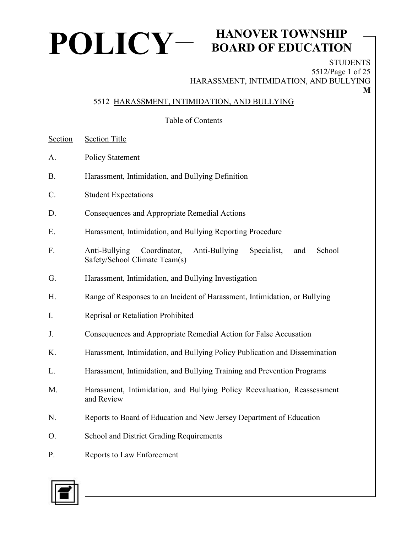

## **BOARD OF EDUCATION**

**STUDENTS** 5512/Page 1 of 25 HARASSMENT, INTIMIDATION, AND BULLYING **M**

#### 5512 HARASSMENT, INTIMIDATION, AND BULLYING

Table of Contents

- Section Section Title
- A. Policy Statement
- B. Harassment, Intimidation, and Bullying Definition
- C. Student Expectations
- D. Consequences and Appropriate Remedial Actions
- E. Harassment, Intimidation, and Bullying Reporting Procedure
- F. Anti-Bullying Coordinator, Anti-Bullying Specialist, and School Safety/School Climate Team(s)
- G. Harassment, Intimidation, and Bullying Investigation
- H. Range of Responses to an Incident of Harassment, Intimidation, or Bullying
- I. Reprisal or Retaliation Prohibited
- J. Consequences and Appropriate Remedial Action for False Accusation
- K. Harassment, Intimidation, and Bullying Policy Publication and Dissemination
- L. Harassment, Intimidation, and Bullying Training and Prevention Programs
- M. Harassment, Intimidation, and Bullying Policy Reevaluation, Reassessment and Review
- N. Reports to Board of Education and New Jersey Department of Education
- O. School and District Grading Requirements
- P. Reports to Law Enforcement

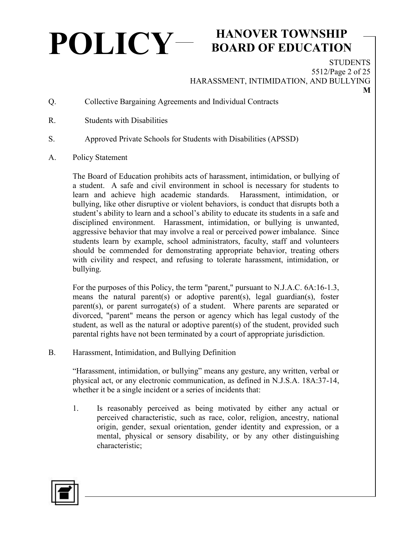# **POLICY HANOVER TOWNSHIP**

#### **BOARD OF EDUCATION**

**STUDENTS** 5512/Page 2 of 25 HARASSMENT, INTIMIDATION, AND BULLYING

- Q. Collective Bargaining Agreements and Individual Contracts
- R. Students with Disabilities
- S. Approved Private Schools for Students with Disabilities (APSSD)
- A. Policy Statement

The Board of Education prohibits acts of harassment, intimidation, or bullying of a student. A safe and civil environment in school is necessary for students to learn and achieve high academic standards. Harassment, intimidation, or bullying, like other disruptive or violent behaviors, is conduct that disrupts both a student's ability to learn and a school's ability to educate its students in a safe and disciplined environment. Harassment, intimidation, or bullying is unwanted, aggressive behavior that may involve a real or perceived power imbalance.Since students learn by example, school administrators, faculty, staff and volunteers should be commended for demonstrating appropriate behavior, treating others with civility and respect, and refusing to tolerate harassment, intimidation, or bullying.

For the purposes of this Policy, the term "parent," pursuant to N.J.A.C. 6A:16-1.3, means the natural parent(s) or adoptive parent(s), legal guardian(s), foster parent(s), or parent surrogate(s) of a student. Where parents are separated or divorced, "parent" means the person or agency which has legal custody of the student, as well as the natural or adoptive parent(s) of the student, provided such parental rights have not been terminated by a court of appropriate jurisdiction.

B. Harassment, Intimidation, and Bullying Definition

"Harassment, intimidation, or bullying" means any gesture, any written, verbal or physical act, or any electronic communication, as defined in N.J.S.A. 18A:37-14, whether it be a single incident or a series of incidents that:

1. Is reasonably perceived as being motivated by either any actual or perceived characteristic, such as race, color, religion, ancestry, national origin, gender, sexual orientation, gender identity and expression, or a mental, physical or sensory disability, or by any other distinguishing characteristic;

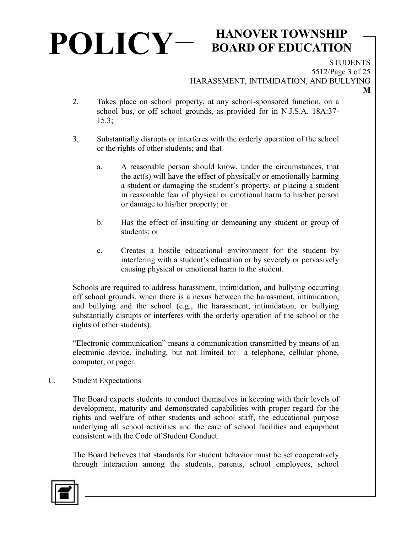## **BOARD OF EDUCATION**

**STUDENTS** 5512/Page 3 of 25 HARASSMENT, INTIMIDATION, AND BULLYING

**M**

- 2. Takes place on school property, at any school-sponsored function, on a school bus, or off school grounds, as provided for in N.J.S.A. 18A:37- 15.3;
- 3. Substantially disrupts or interferes with the orderly operation of the school or the rights of other students; and that
	- a. A reasonable person should know, under the circumstances, that the act(s) will have the effect of physically or emotionally harming a student or damaging the student's property, or placing a student in reasonable fear of physical or emotional harm to his/her person or damage to his/her property; or
	- b. Has the effect of insulting or demeaning any student or group of students; or
	- c. Creates a hostile educational environment for the student by interfering with a student's education or by severely or pervasively causing physical or emotional harm to the student.

Schools are required to address harassment, intimidation, and bullying occurring off school grounds, when there is a nexus between the harassment, intimidation, and bullying and the school (e.g., the harassment, intimidation, or bullying substantially disrupts or interferes with the orderly operation of the school or the rights of other students).

"Electronic communication" means a communication transmitted by means of an electronic device, including, but not limited to: a telephone, cellular phone, computer, or pager.

C. Student Expectations

The Board expects students to conduct themselves in keeping with their levels of development, maturity and demonstrated capabilities with proper regard for the rights and welfare of other students and school staff, the educational purpose underlying all school activities and the care of school facilities and equipment consistent with the Code of Student Conduct.

The Board believes that standards for student behavior must be set cooperatively through interaction among the students, parents, school employees, school

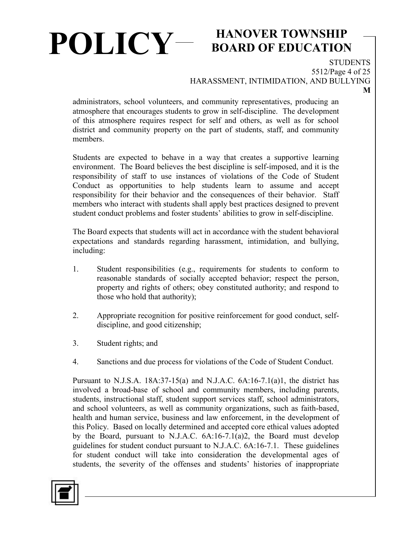## **BOARD OF EDUCATION**

**STUDENTS** 5512/Page 4 of 25 HARASSMENT, INTIMIDATION, AND BULLYING

administrators, school volunteers, and community representatives, producing an atmosphere that encourages students to grow in self-discipline. The development of this atmosphere requires respect for self and others, as well as for school district and community property on the part of students, staff, and community members.

Students are expected to behave in a way that creates a supportive learning environment. The Board believes the best discipline is self-imposed, and it is the responsibility of staff to use instances of violations of the Code of Student Conduct as opportunities to help students learn to assume and accept responsibility for their behavior and the consequences of their behavior. Staff members who interact with students shall apply best practices designed to prevent student conduct problems and foster students' abilities to grow in self-discipline.

The Board expects that students will act in accordance with the student behavioral expectations and standards regarding harassment, intimidation, and bullying, including:

- 1. Student responsibilities (e.g., requirements for students to conform to reasonable standards of socially accepted behavior; respect the person, property and rights of others; obey constituted authority; and respond to those who hold that authority);
- 2. Appropriate recognition for positive reinforcement for good conduct, selfdiscipline, and good citizenship;
- 3. Student rights; and
- 4. Sanctions and due process for violations of the Code of Student Conduct.

Pursuant to N.J.S.A.  $18A:37-15(a)$  and N.J.A.C.  $6A:16-7.1(a)1$ , the district has involved a broad-base of school and community members, including parents, students, instructional staff, student support services staff, school administrators, and school volunteers, as well as community organizations, such as faith-based, health and human service, business and law enforcement, in the development of this Policy. Based on locally determined and accepted core ethical values adopted by the Board, pursuant to N.J.A.C. 6A:16-7.1(a)2, the Board must develop guidelines for student conduct pursuant to N.J.A.C. 6A:16-7.1. These guidelines for student conduct will take into consideration the developmental ages of students, the severity of the offenses and students' histories of inappropriate

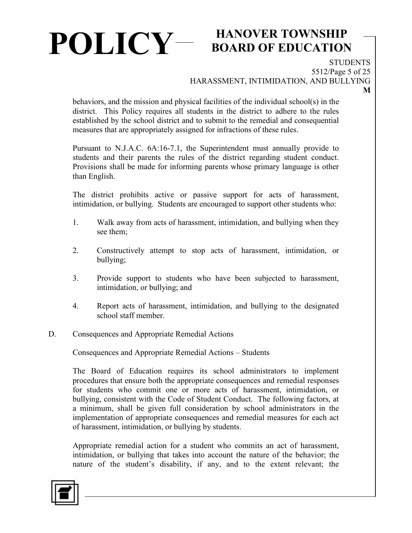# **POLICY HANOVER TOWNSHIP**

## **BOARD OF EDUCATION**

**STUDENTS** 5512/Page 5 of 25 HARASSMENT, INTIMIDATION, AND BULLYING

behaviors, and the mission and physical facilities of the individual school(s) in the district. This Policy requires all students in the district to adhere to the rules established by the school district and to submit to the remedial and consequential measures that are appropriately assigned for infractions of these rules.

Pursuant to N.J.A.C. 6A:16-7.1, the Superintendent must annually provide to students and their parents the rules of the district regarding student conduct. Provisions shall be made for informing parents whose primary language is other than English.

The district prohibits active or passive support for acts of harassment, intimidation, or bullying. Students are encouraged to support other students who:

- 1. Walk away from acts of harassment, intimidation, and bullying when they see them;
- 2. Constructively attempt to stop acts of harassment, intimidation, or bullying;
- 3. Provide support to students who have been subjected to harassment, intimidation, or bullying; and
- 4. Report acts of harassment, intimidation, and bullying to the designated school staff member.
- D. Consequences and Appropriate Remedial Actions

Consequences and Appropriate Remedial Actions – Students

The Board of Education requires its school administrators to implement procedures that ensure both the appropriate consequences and remedial responses for students who commit one or more acts of harassment, intimidation, or bullying, consistent with the Code of Student Conduct. The following factors, at a minimum, shall be given full consideration by school administrators in the implementation of appropriate consequences and remedial measures for each act of harassment, intimidation, or bullying by students.

Appropriate remedial action for a student who commits an act of harassment, intimidation, or bullying that takes into account the nature of the behavior; the nature of the student's disability, if any, and to the extent relevant; the

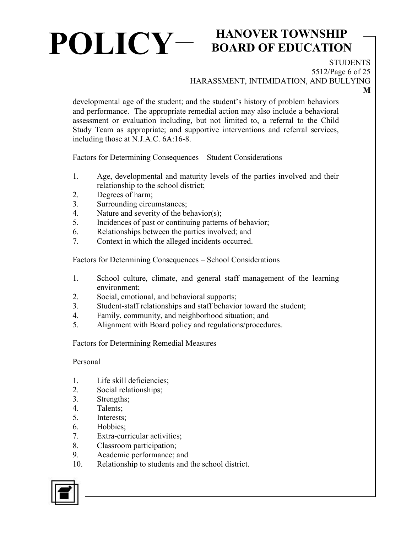## **BOARD OF EDUCATION**

**STUDENTS** 5512/Page 6 of 25

HARASSMENT, INTIMIDATION, AND BULLYING

**M**

developmental age of the student; and the student's history of problem behaviors and performance. The appropriate remedial action may also include a behavioral assessment or evaluation including, but not limited to, a referral to the Child Study Team as appropriate; and supportive interventions and referral services, including those at N.J.A.C. 6A:16-8.

Factors for Determining Consequences – Student Considerations

- 1. Age, developmental and maturity levels of the parties involved and their relationship to the school district;
- 2. Degrees of harm;
- 3. Surrounding circumstances;
- 4. Nature and severity of the behavior(s);
- 5. Incidences of past or continuing patterns of behavior;
- 6. Relationships between the parties involved; and
- 7. Context in which the alleged incidents occurred.

Factors for Determining Consequences – School Considerations

- 1. School culture, climate, and general staff management of the learning environment;
- 2. Social, emotional, and behavioral supports;
- 3. Student-staff relationships and staff behavior toward the student;
- 4. Family, community, and neighborhood situation; and
- 5. Alignment with Board policy and regulations/procedures.

Factors for Determining Remedial Measures

Personal

- 1. Life skill deficiencies;
- 2. Social relationships;
- 3. Strengths;
- 4. Talents;
- 5. Interests;
- 6. Hobbies;
- 7. Extra-curricular activities;
- 8. Classroom participation;
- 9. Academic performance; and
- 10. Relationship to students and the school district.

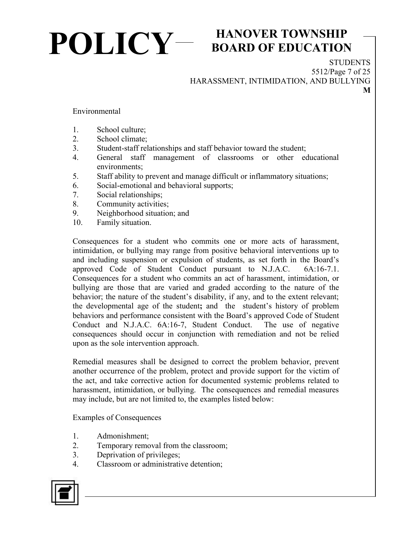## **POLICY HANOVER TOWNSHIP**

## **BOARD OF EDUCATION**

**STUDENTS** 5512/Page 7 of 25 HARASSMENT, INTIMIDATION, AND BULLYING **M**

Environmental

- 1. School culture;
- 2. School climate;
- 3. Student-staff relationships and staff behavior toward the student;
- 4. General staff management of classrooms or other educational environments;
- 5. Staff ability to prevent and manage difficult or inflammatory situations;
- 6. Social-emotional and behavioral supports;
- 7. Social relationships;
- 8. Community activities;
- 9. Neighborhood situation; and
- 10. Family situation.

Consequences for a student who commits one or more acts of harassment, intimidation, or bullying may range from positive behavioral interventions up to and including suspension or expulsion of students, as set forth in the Board's approved Code of Student Conduct pursuant to N.J.A.C. 6A:16-7.1. Consequences for a student who commits an act of harassment, intimidation, or bullying are those that are varied and graded according to the nature of the behavior; the nature of the student's disability, if any, and to the extent relevant; the developmental age of the student**;** and thestudent's history of problem behaviors and performance consistent with the Board's approved Code of Student Conduct and N.J.A.C. 6A:16-7, Student Conduct. The use of negative consequences should occur in conjunction with remediation and not be relied upon as the sole intervention approach.

Remedial measures shall be designed to correct the problem behavior, prevent another occurrence of the problem, protect and provide support for the victim of the act, and take corrective action for documented systemic problems related to harassment, intimidation, or bullying. The consequences and remedial measures may include, but are not limited to, the examples listed below:

Examples of Consequences

- 1. Admonishment;
- 2. Temporary removal from the classroom;
- 3. Deprivation of privileges;
- 4. Classroom or administrative detention;

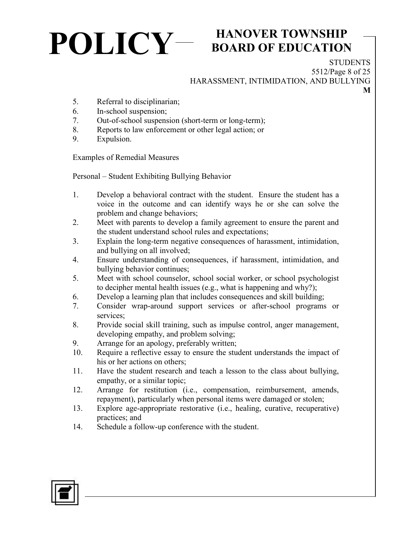#### **BOARD OF EDUCATION**

**STUDENTS** 5512/Page 8 of 25 HARASSMENT, INTIMIDATION, AND BULLYING **M**

- 5. Referral to disciplinarian;
- 6. In-school suspension;
- 7. Out-of-school suspension (short-term or long-term);
- 8. Reports to law enforcement or other legal action; or
- 9. Expulsion.

Examples of Remedial Measures

Personal – Student Exhibiting Bullying Behavior

- 1. Develop a behavioral contract with the student. Ensure the student has a voice in the outcome and can identify ways he or she can solve the problem and change behaviors;
- 2. Meet with parents to develop a family agreement to ensure the parent and the student understand school rules and expectations;
- 3. Explain the long-term negative consequences of harassment, intimidation, and bullying on all involved;
- 4. Ensure understanding of consequences, if harassment, intimidation, and bullying behavior continues;
- 5. Meet with school counselor, school social worker, or school psychologist to decipher mental health issues (e.g., what is happening and why?);
- 6. Develop a learning plan that includes consequences and skill building;
- 7. Consider wrap-around support services or after-school programs or services;
- 8. Provide social skill training, such as impulse control, anger management, developing empathy, and problem solving;
- 9. Arrange for an apology, preferably written;
- 10. Require a reflective essay to ensure the student understands the impact of his or her actions on others;
- 11. Have the student research and teach a lesson to the class about bullying, empathy, or a similar topic;
- 12. Arrange for restitution (i.e., compensation, reimbursement, amends, repayment), particularly when personal items were damaged or stolen;
- 13. Explore age-appropriate restorative (i.e., healing, curative, recuperative) practices; and
- 14. Schedule a follow-up conference with the student.

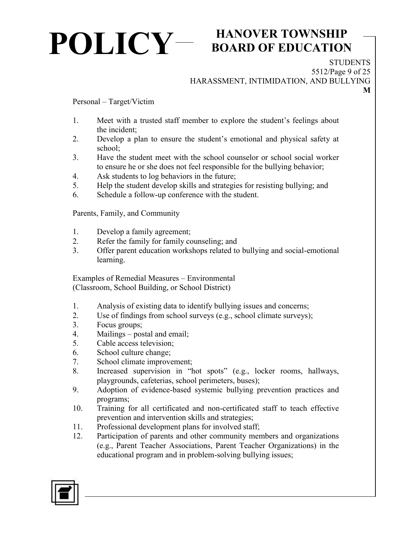## **BOARD OF EDUCATION**

**STUDENTS** 5512/Page 9 of 25 HARASSMENT, INTIMIDATION, AND BULLYING

**M**

Personal – Target/Victim

- 1. Meet with a trusted staff member to explore the student's feelings about the incident;
- 2. Develop a plan to ensure the student's emotional and physical safety at school;
- 3. Have the student meet with the school counselor or school social worker to ensure he or she does not feel responsible for the bullying behavior;
- 4. Ask students to log behaviors in the future;
- 5. Help the student develop skills and strategies for resisting bullying; and
- 6. Schedule a follow-up conference with the student.

Parents, Family, and Community

- 1. Develop a family agreement;
- 2. Refer the family for family counseling; and
- 3. Offer parent education workshops related to bullying and social-emotional learning.

Examples of Remedial Measures – Environmental (Classroom, School Building, or School District)

- 1. Analysis of existing data to identify bullying issues and concerns;
- 2. Use of findings from school surveys (e.g., school climate surveys);
- 3. Focus groups;
- 4. Mailings postal and email;
- 5. Cable access television;
- 6. School culture change;
- 7. School climate improvement;
- 8. Increased supervision in "hot spots" (e.g., locker rooms, hallways, playgrounds, cafeterias, school perimeters, buses);
- 9. Adoption of evidence-based systemic bullying prevention practices and programs;
- 10. Training for all certificated and non-certificated staff to teach effective prevention and intervention skills and strategies;
- 11. Professional development plans for involved staff;
- 12. Participation of parents and other community members and organizations (e.g., Parent Teacher Associations, Parent Teacher Organizations) in the educational program and in problem-solving bullying issues;

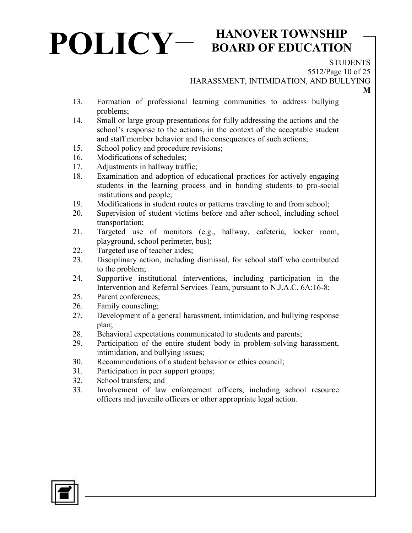## **BOARD OF EDUCATION**

**STUDENTS** 

**M**

5512/Page 10 of 25

HARASSMENT, INTIMIDATION, AND BULLYING

- 13. Formation of professional learning communities to address bullying problems;
- 14. Small or large group presentations for fully addressing the actions and the school's response to the actions, in the context of the acceptable student and staff member behavior and the consequences of such actions;
- 15. School policy and procedure revisions;
- 16. Modifications of schedules;
- 17. Adjustments in hallway traffic;
- 18. Examination and adoption of educational practices for actively engaging students in the learning process and in bonding students to pro-social institutions and people;
- 19. Modifications in student routes or patterns traveling to and from school;
- 20. Supervision of student victims before and after school, including school transportation;
- 21. Targeted use of monitors (e.g., hallway, cafeteria, locker room, playground, school perimeter, bus);
- 22. Targeted use of teacher aides;
- 23. Disciplinary action, including dismissal, for school staff who contributed to the problem;
- 24. Supportive institutional interventions, including participation in the Intervention and Referral Services Team, pursuant to N.J.A.C. 6A:16-8;
- 25. Parent conferences;
- 26. Family counseling;
- 27. Development of a general harassment, intimidation, and bullying response plan;
- 28. Behavioral expectations communicated to students and parents;
- 29. Participation of the entire student body in problem-solving harassment, intimidation, and bullying issues;
- 30. Recommendations of a student behavior or ethics council;
- 31. Participation in peer support groups;
- 32. School transfers; and
- 33. Involvement of law enforcement officers, including school resource officers and juvenile officers or other appropriate legal action.

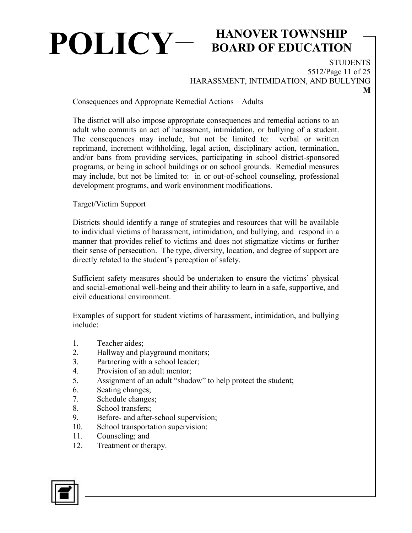## **BOARD OF EDUCATION**

**STUDENTS** 5512/Page 11 of 25 HARASSMENT, INTIMIDATION, AND BULLYING

Consequences and Appropriate Remedial Actions – Adults

The district will also impose appropriate consequences and remedial actions to an adult who commits an act of harassment, intimidation, or bullying of a student. The consequences may include, but not be limited to: verbal or written reprimand, increment withholding, legal action, disciplinary action, termination, and/or bans from providing services, participating in school district-sponsored programs, or being in school buildings or on school grounds. Remedial measures may include, but not be limited to: in or out-of-school counseling, professional development programs, and work environment modifications.

Target/Victim Support

Districts should identify a range of strategies and resources that will be available to individual victims of harassment, intimidation, and bullying, and respond in a manner that provides relief to victims and does not stigmatize victims or further their sense of persecution. The type, diversity, location, and degree of support are directly related to the student's perception of safety.

Sufficient safety measures should be undertaken to ensure the victims' physical and social-emotional well-being and their ability to learn in a safe, supportive, and civil educational environment.

Examples of support for student victims of harassment, intimidation, and bullying include:

- 1. Teacher aides;
- 2. Hallway and playground monitors;
- 3. Partnering with a school leader;
- 4. Provision of an adult mentor;
- 5. Assignment of an adult "shadow" to help protect the student;
- 6. Seating changes;
- 7. Schedule changes;
- 8. School transfers;
- 9. Before- and after-school supervision;
- 10. School transportation supervision;
- 11. Counseling; and
- 12. Treatment or therapy.

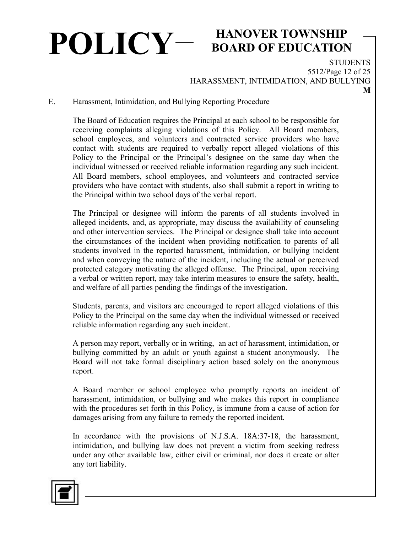## **BOARD OF EDUCATION**

**STUDENTS** 5512/Page 12 of 25 HARASSMENT, INTIMIDATION, AND BULLYING

E. Harassment, Intimidation, and Bullying Reporting Procedure

The Board of Education requires the Principal at each school to be responsible for receiving complaints alleging violations of this Policy. All Board members, school employees, and volunteers and contracted service providers who have contact with students are required to verbally report alleged violations of this Policy to the Principal or the Principal's designee on the same day when the individual witnessed or received reliable information regarding any such incident. All Board members, school employees, and volunteers and contracted service providers who have contact with students, also shall submit a report in writing to the Principal within two school days of the verbal report.

The Principal or designee will inform the parents of all students involved in alleged incidents, and, as appropriate, may discuss the availability of counseling and other intervention services. The Principal or designee shall take into account the circumstances of the incident when providing notification to parents of all students involved in the reported harassment, intimidation, or bullying incident and when conveying the nature of the incident, including the actual or perceived protected category motivating the alleged offense.The Principal, upon receiving a verbal or written report, may take interim measures to ensure the safety, health, and welfare of all parties pending the findings of the investigation.

Students, parents, and visitors are encouraged to report alleged violations of this Policy to the Principal on the same day when the individual witnessed or received reliable information regarding any such incident.

A person may report, verbally or in writing, an act of harassment, intimidation, or bullying committed by an adult or youth against a student anonymously. The Board will not take formal disciplinary action based solely on the anonymous report.

A Board member or school employee who promptly reports an incident of harassment, intimidation, or bullying and who makes this report in compliance with the procedures set forth in this Policy, is immune from a cause of action for damages arising from any failure to remedy the reported incident.

In accordance with the provisions of N.J.S.A. 18A:37-18, the harassment, intimidation, and bullying law does not prevent a victim from seeking redress under any other available law, either civil or criminal, nor does it create or alter any tort liability.

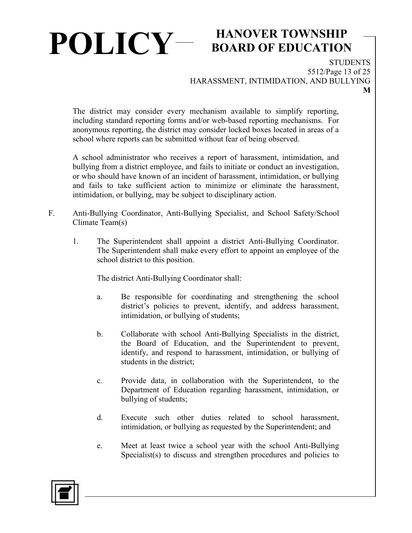## **BOARD OF EDUCATION**

**STUDENTS** 5512/Page 13 of 25 HARASSMENT, INTIMIDATION, AND BULLYING

The district may consider every mechanism available to simplify reporting, including standard reporting forms and/or web-based reporting mechanisms. For anonymous reporting, the district may consider locked boxes located in areas of a school where reports can be submitted without fear of being observed.

A school administrator who receives a report of harassment, intimidation, and bullying from a district employee, and fails to initiate or conduct an investigation, or who should have known of an incident of harassment, intimidation, or bullying and fails to take sufficient action to minimize or eliminate the harassment, intimidation, or bullying, may be subject to disciplinary action.

- F. Anti-Bullying Coordinator, Anti-Bullying Specialist, and School Safety/School Climate Team(s)
	- 1. The Superintendent shall appoint a district Anti-Bullying Coordinator. The Superintendent shall make every effort to appoint an employee of the school district to this position.

The district Anti-Bullying Coordinator shall:

- a. Be responsible for coordinating and strengthening the school district's policies to prevent, identify, and address harassment, intimidation, or bullying of students;
- b. Collaborate with school Anti-Bullying Specialists in the district, the Board of Education, and the Superintendent to prevent, identify, and respond to harassment, intimidation, or bullying of students in the district;
- c. Provide data, in collaboration with the Superintendent, to the Department of Education regarding harassment, intimidation, or bullying of students;
- d. Execute such other duties related to school harassment, intimidation, or bullying as requested by the Superintendent; and
- e. Meet at least twice a school year with the school Anti-Bullying Specialist(s) to discuss and strengthen procedures and policies to

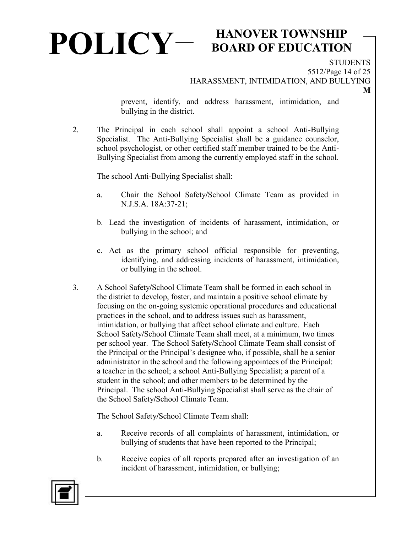## **BOARD OF EDUCATION**

**STUDENTS** 5512/Page 14 of 25

HARASSMENT, INTIMIDATION, AND BULLYING

prevent, identify, and address harassment, intimidation, and bullying in the district.

2. The Principal in each school shall appoint a school Anti-Bullying Specialist. The Anti-Bullying Specialist shall be a guidance counselor, school psychologist, or other certified staff member trained to be the Anti-Bullying Specialist from among the currently employed staff in the school.

The school Anti-Bullying Specialist shall:

- a. Chair the School Safety**/**School Climate Team as provided in N.J.S.A. 18A:37-21;
- b. Lead the investigation of incidents of harassment, intimidation, or bullying in the school; and
- c. Act as the primary school official responsible for preventing, identifying, and addressing incidents of harassment, intimidation, or bullying in the school.
- 3. A School Safety**/**School Climate Team shall be formed in each school in the district to develop, foster, and maintain a positive school climate by focusing on the on-going systemic operational procedures and educational practices in the school, and to address issues such as harassment, intimidation, or bullying that affect school climate and culture. Each School Safety**/**School Climate Team shall meet, at a minimum, two times per school year. The School Safety**/**School Climate Team shall consist of the Principal or the Principal's designee who, if possible, shall be a senior administrator in the school and the following appointees of the Principal: a teacher in the school; a school Anti-Bullying Specialist; a parent of a student in the school; and other members to be determined by the Principal. The school Anti-Bullying Specialist shall serve as the chair of the School Safety**/**School Climate Team.

The School Safety**/**School Climate Team shall:

- a. Receive records of all complaints of harassment, intimidation, or bullying of students that have been reported to the Principal;
- b. Receive copies of all reports prepared after an investigation of an incident of harassment, intimidation, or bullying;

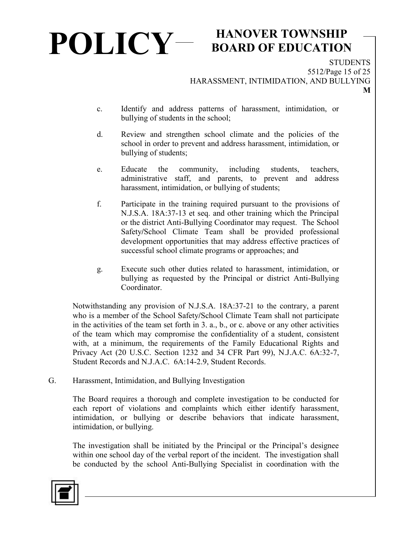#### **BOARD OF EDUCATION**

**STUDENTS** 5512/Page 15 of 25 HARASSMENT, INTIMIDATION, AND BULLYING

- c. Identify and address patterns of harassment, intimidation, or bullying of students in the school;
- d. Review and strengthen school climate and the policies of the school in order to prevent and address harassment, intimidation, or bullying of students;
- e. Educate the community, including students, teachers, administrative staff, and parents, to prevent and address harassment, intimidation, or bullying of students;
- f. Participate in the training required pursuant to the provisions of N.J.S.A. 18A:37-13 et seq. and other training which the Principal or the district Anti-Bullying Coordinator may request. The School Safety**/**School Climate Team shall be provided professional development opportunities that may address effective practices of successful school climate programs or approaches; and
- g. Execute such other duties related to harassment, intimidation, or bullying as requested by the Principal or district Anti-Bullying Coordinator.

Notwithstanding any provision of N.J.S.A. 18A:37-21 to the contrary, a parent who is a member of the School Safety**/**School Climate Team shall not participate in the activities of the team set forth in 3. a., b., or c. above or any other activities of the team which may compromise the confidentiality of a student, consistent with, at a minimum, the requirements of the Family Educational Rights and Privacy Act (20 U.S.C. Section 1232 and 34 CFR Part 99), N.J.A.C. 6A:32-7, Student Records and N.J.A.C. 6A:14-2.9, Student Records.

G. Harassment, Intimidation, and Bullying Investigation

The Board requires a thorough and complete investigation to be conducted for each report of violations and complaints which either identify harassment, intimidation, or bullying or describe behaviors that indicate harassment, intimidation, or bullying.

The investigation shall be initiated by the Principal or the Principal's designee within one school day of the verbal report of the incident. The investigation shall be conducted by the school Anti-Bullying Specialist in coordination with the

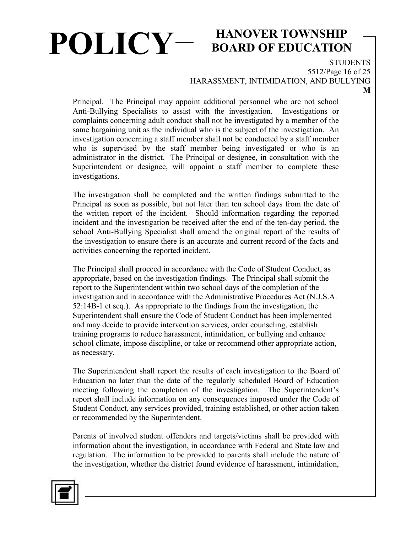## **BOARD OF EDUCATION**

**STUDENTS** 5512/Page 16 of 25

HARASSMENT, INTIMIDATION, AND BULLYING

Principal. The Principal may appoint additional personnel who are not school Anti-Bullying Specialists to assist with the investigation. Investigations or complaints concerning adult conduct shall not be investigated by a member of the same bargaining unit as the individual who is the subject of the investigation. An investigation concerning a staff member shall not be conducted by a staff member who is supervised by the staff member being investigated or who is an administrator in the district. The Principal or designee, in consultation with the Superintendent or designee, will appoint a staff member to complete these investigations.

The investigation shall be completed and the written findings submitted to the Principal as soon as possible, but not later than ten school days from the date of the written report of the incident. Should information regarding the reported incident and the investigation be received after the end of the ten-day period, the school Anti-Bullying Specialist shall amend the original report of the results of the investigation to ensure there is an accurate and current record of the facts and activities concerning the reported incident.

The Principal shall proceed in accordance with the Code of Student Conduct, as appropriate, based on the investigation findings. The Principal shall submit the report to the Superintendent within two school days of the completion of the investigation and in accordance with the Administrative Procedures Act (N.J.S.A. 52:14B-1 et seq.). As appropriate to the findings from the investigation, the Superintendent shall ensure the Code of Student Conduct has been implemented and may decide to provide intervention services, order counseling, establish training programs to reduce harassment, intimidation, or bullying and enhance school climate, impose discipline, or take or recommend other appropriate action, as necessary.

The Superintendent shall report the results of each investigation to the Board of Education no later than the date of the regularly scheduled Board of Education meeting following the completion of the investigation. The Superintendent's report shall include information on any consequences imposed under the Code of Student Conduct, any services provided, training established, or other action taken or recommended by the Superintendent.

Parents of involved student offenders and targets/victims shall be provided with information about the investigation, in accordance with Federal and State law and regulation. The information to be provided to parents shall include the nature of the investigation, whether the district found evidence of harassment, intimidation,

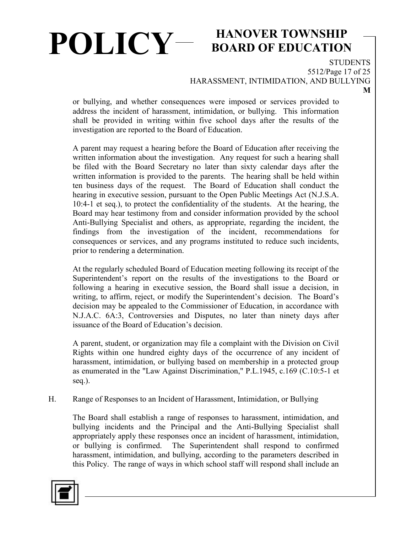## **BOARD OF EDUCATION**

**STUDENTS** 5512/Page 17 of 25 HARASSMENT, INTIMIDATION, AND BULLYING

or bullying, and whether consequences were imposed or services provided to address the incident of harassment, intimidation, or bullying. This information shall be provided in writing within five school days after the results of the investigation are reported to the Board of Education.

A parent may request a hearing before the Board of Education after receiving the written information about the investigation. Any request for such a hearing shall be filed with the Board Secretary no later than sixty calendar days after the written information is provided to the parents.The hearing shall be held within ten business days of the request. The Board of Education shall conduct the hearing in executive session, pursuant to the Open Public Meetings Act (N.J.S.A. 10:4-1 et seq.), to protect the confidentiality of the students. At the hearing, the Board may hear testimony from and consider information provided by the school Anti-Bullying Specialist and others, as appropriate, regarding the incident, the findings from the investigation of the incident, recommendations for consequences or services, and any programs instituted to reduce such incidents, prior to rendering a determination.

At the regularly scheduled Board of Education meeting following its receipt of the Superintendent's report on the results of the investigations to the Board or following a hearing in executive session, the Board shall issue a decision, in writing, to affirm, reject, or modify the Superintendent's decision. The Board's decision may be appealed to the Commissioner of Education, in accordance with N.J.A.C. 6A:3, Controversies and Disputes, no later than ninety days after issuance of the Board of Education's decision.

A parent, student, or organization may file a complaint with the Division on Civil Rights within one hundred eighty days of the occurrence of any incident of harassment, intimidation, or bullying based on membership in a protected group as enumerated in the "Law Against Discrimination," P.L.1945, c.169 (C.10:5-1 et seq.).

H. Range of Responses to an Incident of Harassment, Intimidation, or Bullying

The Board shall establish a range of responses to harassment, intimidation, and bullying incidents and the Principal and the Anti-Bullying Specialist shall appropriately apply these responses once an incident of harassment, intimidation, or bullying is confirmed. The Superintendent shall respond to confirmed harassment, intimidation, and bullying, according to the parameters described in this Policy. The range of ways in which school staff will respond shall include an

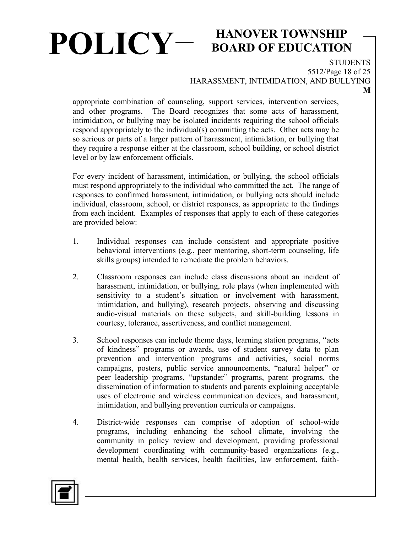### **BOARD OF EDUCATION**

**STUDENTS** 5512/Page 18 of 25 HARASSMENT, INTIMIDATION, AND BULLYING **M**

appropriate combination of counseling, support services, intervention services, and other programs. The Board recognizes that some acts of harassment, intimidation, or bullying may be isolated incidents requiring the school officials respond appropriately to the individual(s) committing the acts. Other acts may be so serious or parts of a larger pattern of harassment, intimidation, or bullying that they require a response either at the classroom, school building, or school district level or by law enforcement officials.

For every incident of harassment, intimidation, or bullying, the school officials must respond appropriately to the individual who committed the act. The range of responses to confirmed harassment, intimidation, or bullying acts should include individual, classroom, school, or district responses, as appropriate to the findings from each incident. Examples of responses that apply to each of these categories are provided below:

- 1. Individual responses can include consistent and appropriate positive behavioral interventions (e.g., peer mentoring, short-term counseling, life skills groups) intended to remediate the problem behaviors.
- 2. Classroom responses can include class discussions about an incident of harassment, intimidation, or bullying, role plays (when implemented with sensitivity to a student's situation or involvement with harassment, intimidation, and bullying), research projects, observing and discussing audio-visual materials on these subjects, and skill-building lessons in courtesy, tolerance, assertiveness, and conflict management.
- 3. School responses can include theme days, learning station programs, "acts of kindness" programs or awards, use of student survey data to plan prevention and intervention programs and activities, social norms campaigns, posters, public service announcements, "natural helper" or peer leadership programs, "upstander" programs, parent programs, the dissemination of information to students and parents explaining acceptable uses of electronic and wireless communication devices, and harassment, intimidation, and bullying prevention curricula or campaigns.
- 4. District-wide responses can comprise of adoption of school-wide programs, including enhancing the school climate, involving the community in policy review and development, providing professional development coordinating with community-based organizations (e.g., mental health, health services, health facilities, law enforcement, faith-

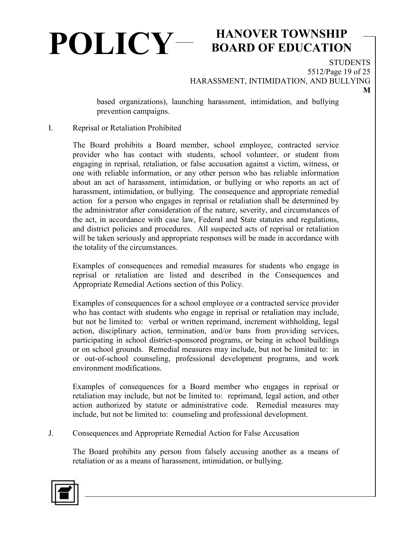## **BOARD OF EDUCATION**

**STUDENTS** 5512/Page 19 of 25 HARASSMENT, INTIMIDATION, AND BULLYING

based organizations), launching harassment, intimidation, and bullying prevention campaigns.

#### I. Reprisal or Retaliation Prohibited

The Board prohibits a Board member, school employee, contracted service provider who has contact with students, school volunteer, or student from engaging in reprisal, retaliation, or false accusation against a victim, witness, or one with reliable information, or any other person who has reliable information about an act of harassment, intimidation, or bullying or who reports an act of harassment, intimidation, or bullying. The consequence and appropriate remedial action for a person who engages in reprisal or retaliation shall be determined by the administrator after consideration of the nature, severity, and circumstances of the act, in accordance with case law, Federal and State statutes and regulations, and district policies and procedures. All suspected acts of reprisal or retaliation will be taken seriously and appropriate responses will be made in accordance with the totality of the circumstances.

Examples of consequences and remedial measures for students who engage in reprisal or retaliation are listed and described in the Consequences and Appropriate Remedial Actions section of this Policy.

Examples of consequences for a school employee or a contracted service provider who has contact with students who engage in reprisal or retaliation may include, but not be limited to: verbal or written reprimand, increment withholding, legal action, disciplinary action, termination, and/or bans from providing services, participating in school district-sponsored programs, or being in school buildings or on school grounds. Remedial measures may include, but not be limited to: in or out-of-school counseling, professional development programs, and work environment modifications.

Examples of consequences for a Board member who engages in reprisal or retaliation may include, but not be limited to: reprimand, legal action, and other action authorized by statute or administrative code. Remedial measures may include, but not be limited to: counseling and professional development.

J. Consequences and Appropriate Remedial Action for False Accusation

The Board prohibits any person from falsely accusing another as a means of retaliation or as a means of harassment, intimidation, or bullying.

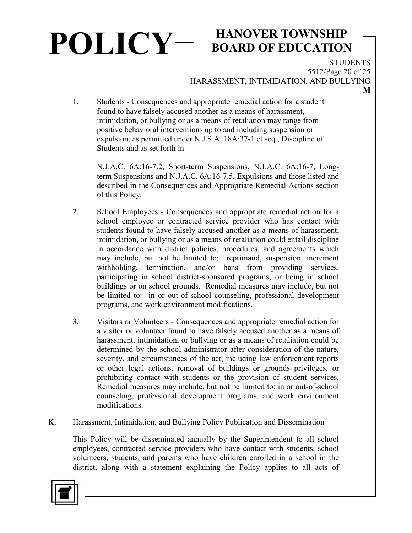## **BOARD OF EDUCATION**

**STUDENTS** 5512/Page 20 of 25 HARASSMENT, INTIMIDATION, AND BULLYING

1. Students - Consequences and appropriate remedial action for a student found to have falsely accused another as a means of harassment, intimidation, or bullying or as a means of retaliation may range from positive behavioral interventions up to and including suspension or expulsion, as permitted under N.J.S.A. 18A:37-1 et seq., Discipline of Students and as set forth in

N.J.A.C. 6A:16-7.2, Short-term Suspensions, N.J.A.C. 6A:16-7, Longterm Suspensions and N.J.A.C. 6A:16-7.5, Expulsions and those listed and described in the Consequences and Appropriate Remedial Actions section of this Policy.

- 2. School Employees Consequences and appropriate remedial action for a school employee or contracted service provider who has contact with students found to have falsely accused another as a means of harassment, intimidation, or bullying or as a means of retaliation could entail discipline in accordance with district policies, procedures, and agreements which may include, but not be limited to: reprimand, suspension, increment withholding, termination, and/or bans from providing services, participating in school district-sponsored programs, or being in school buildings or on school grounds. Remedial measures may include, but not be limited to: in or out-of-school counseling, professional development programs, and work environment modifications.
- 3. Visitors or Volunteers Consequences and appropriate remedial action for a visitor or volunteer found to have falsely accused another as a means of harassment, intimidation, or bullying or as a means of retaliation could be determined by the school administrator after consideration of the nature, severity, and circumstances of the act, including law enforcement reports or other legal actions, removal of buildings or grounds privileges, or prohibiting contact with students or the provision of student services. Remedial measures may include, but not be limited to: in or out-of-school counseling, professional development programs, and work environment modifications.
- K. Harassment, Intimidation, and Bullying Policy Publication and Dissemination

This Policy will be disseminated annually by the Superintendent to all school employees, contracted service providers who have contact with students, school volunteers, students, and parents who have children enrolled in a school in the district, along with a statement explaining the Policy applies to all acts of

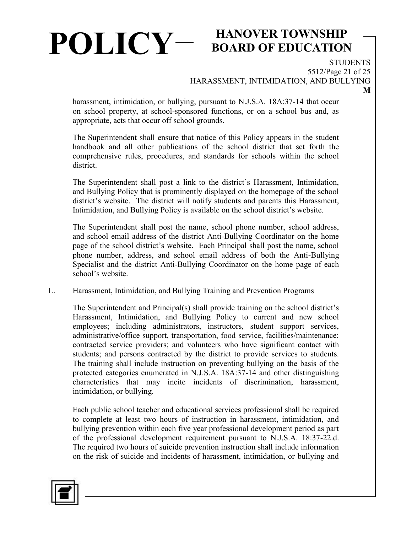## **BOARD OF EDUCATION**

**STUDENTS** 5512/Page 21 of 25 HARASSMENT, INTIMIDATION, AND BULLYING

harassment, intimidation, or bullying, pursuant to N.J.S.A. 18A:37-14 that occur on school property, at school-sponsored functions, or on a school bus and, as appropriate, acts that occur off school grounds.

The Superintendent shall ensure that notice of this Policy appears in the student handbook and all other publications of the school district that set forth the comprehensive rules, procedures, and standards for schools within the school district.

The Superintendent shall post a link to the district's Harassment, Intimidation, and Bullying Policy that is prominently displayed on the homepage of the school district's website. The district will notify students and parents this Harassment, Intimidation, and Bullying Policy is available on the school district's website.

The Superintendent shall post the name, school phone number, school address, and school email address of the district Anti-Bullying Coordinator on the home page of the school district's website. Each Principal shall post the name, school phone number, address, and school email address of both the Anti-Bullying Specialist and the district Anti-Bullying Coordinator on the home page of each school's website.

L. Harassment, Intimidation, and Bullying Training and Prevention Programs

The Superintendent and Principal(s) shall provide training on the school district's Harassment, Intimidation, and Bullying Policy to current and new school employees; including administrators, instructors, student support services, administrative/office support, transportation, food service, facilities/maintenance; contracted service providers; and volunteers who have significant contact with students; and persons contracted by the district to provide services to students. The training shall include instruction on preventing bullying on the basis of the protected categories enumerated in N.J.S.A. 18A:37-14 and other distinguishing characteristics that may incite incidents of discrimination, harassment, intimidation, or bullying.

Each public school teacher and educational services professional shall be required to complete at least two hours of instruction in harassment, intimidation, and bullying prevention within each five year professional development period as part of the professional development requirement pursuant to N.J.S.A. 18:37-22.d. The required two hours of suicide prevention instruction shall include information on the risk of suicide and incidents of harassment, intimidation, or bullying and

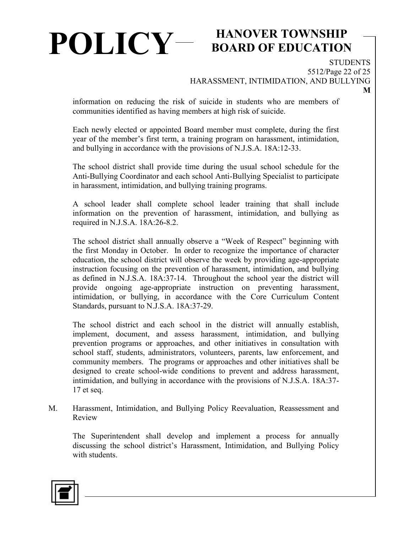## **BOARD OF EDUCATION**

**STUDENTS** 5512/Page 22 of 25 HARASSMENT, INTIMIDATION, AND BULLYING

information on reducing the risk of suicide in students who are members of communities identified as having members at high risk of suicide.

Each newly elected or appointed Board member must complete, during the first year of the member's first term, a training program on harassment, intimidation, and bullying in accordance with the provisions of N.J.S.A. 18A:12-33.

The school district shall provide time during the usual school schedule for the Anti-Bullying Coordinator and each school Anti-Bullying Specialist to participate in harassment, intimidation, and bullying training programs.

A school leader shall complete school leader training that shall include information on the prevention of harassment, intimidation, and bullying as required in N.J.S.A. 18A:26-8.2.

The school district shall annually observe a "Week of Respect" beginning with the first Monday in October. In order to recognize the importance of character education, the school district will observe the week by providing age-appropriate instruction focusing on the prevention of harassment, intimidation, and bullying as defined in N.J.S.A. 18A:37-14. Throughout the school year the district will provide ongoing age-appropriate instruction on preventing harassment, intimidation, or bullying, in accordance with the Core Curriculum Content Standards, pursuant to N.J.S.A. 18A:37-29.

The school district and each school in the district will annually establish, implement, document, and assess harassment, intimidation, and bullying prevention programs or approaches, and other initiatives in consultation with school staff, students, administrators, volunteers, parents, law enforcement, and community members. The programs or approaches and other initiatives shall be designed to create school-wide conditions to prevent and address harassment, intimidation, and bullying in accordance with the provisions of N.J.S.A. 18A:37- 17 et seq.

M. Harassment, Intimidation, and Bullying Policy Reevaluation, Reassessment and Review

The Superintendent shall develop and implement a process for annually discussing the school district's Harassment, Intimidation, and Bullying Policy with students.

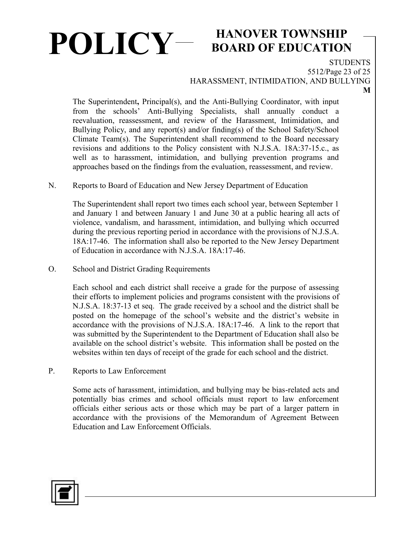## **BOARD OF EDUCATION**

**STUDENTS** 5512/Page 23 of 25

HARASSMENT, INTIMIDATION, AND BULLYING

The Superintendent**,** Principal(s), and the Anti-Bullying Coordinator, with input from the schools' Anti-Bullying Specialists, shall annually conduct a reevaluation, reassessment, and review of the Harassment, Intimidation, and Bullying Policy, and any report(s) and/or finding(s) of the School Safety/School Climate Team(s). The Superintendent shall recommend to the Board necessary revisions and additions to the Policy consistent with N.J.S.A. 18A:37-15.c., as well as to harassment, intimidation, and bullying prevention programs and approaches based on the findings from the evaluation, reassessment, and review.

#### N. Reports to Board of Education and New Jersey Department of Education

The Superintendent shall report two times each school year, between September 1 and January 1 and between January 1 and June 30 at a public hearing all acts of violence, vandalism, and harassment, intimidation, and bullying which occurred during the previous reporting period in accordance with the provisions of N.J.S.A. 18A:17-46. The information shall also be reported to the New Jersey Department of Education in accordance with N.J.S.A. 18A:17-46.

O. School and District Grading Requirements

Each school and each district shall receive a grade for the purpose of assessing their efforts to implement policies and programs consistent with the provisions of N.J.S.A. 18:37-13 et seq. The grade received by a school and the district shall be posted on the homepage of the school's website and the district's website in accordance with the provisions of N.J.S.A. 18A:17-46. A link to the report that was submitted by the Superintendent to the Department of Education shall also be available on the school district's website. This information shall be posted on the websites within ten days of receipt of the grade for each school and the district.

P. Reports to Law Enforcement

Some acts of harassment, intimidation, and bullying may be bias-related acts and potentially bias crimes and school officials must report to law enforcement officials either serious acts or those which may be part of a larger pattern in accordance with the provisions of the Memorandum of Agreement Between Education and Law Enforcement Officials.

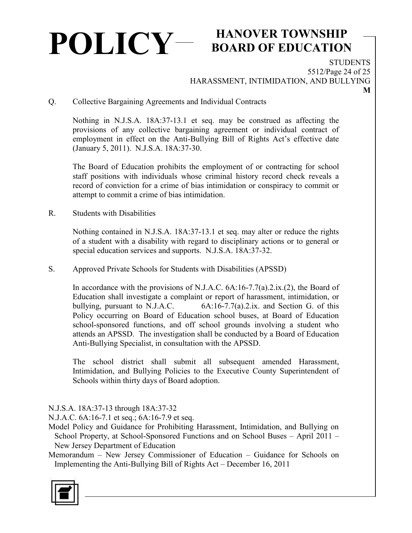## **BOARD OF EDUCATION**

**STUDENTS** 5512/Page 24 of 25 HARASSMENT, INTIMIDATION, AND BULLYING

Q. Collective Bargaining Agreements and Individual Contracts

Nothing in N.J.S.A. 18A:37-13.1 et seq. may be construed as affecting the provisions of any collective bargaining agreement or individual contract of employment in effect on the Anti-Bullying Bill of Rights Act's effective date (January 5, 2011). N.J.S.A. 18A:37-30.

The Board of Education prohibits the employment of or contracting for school staff positions with individuals whose criminal history record check reveals a record of conviction for a crime of bias intimidation or conspiracy to commit or attempt to commit a crime of bias intimidation.

R. Students with Disabilities

Nothing contained in N.J.S.A. 18A:37-13.1 et seq. may alter or reduce the rights of a student with a disability with regard to disciplinary actions or to general or special education services and supports. N.J.S.A. 18A:37-32.

S. Approved Private Schools for Students with Disabilities (APSSD)

In accordance with the provisions of N.J.A.C. 6A:16-7.7(a).2.ix.(2), the Board of Education shall investigate a complaint or report of harassment, intimidation, or bullying, pursuant to N.J.A.C. 6A:16-7.7(a).2.ix. and Section G. of this Policy occurring on Board of Education school buses, at Board of Education school-sponsored functions, and off school grounds involving a student who attends an APSSD. The investigation shall be conducted by a Board of Education Anti-Bullying Specialist, in consultation with the APSSD.

The school district shall submit all subsequent amended Harassment, Intimidation, and Bullying Policies to the Executive County Superintendent of Schools within thirty days of Board adoption.

N.J.S.A. 18A:37-13 through 18A:37-32

N.J.A.C. 6A:16-7.1 et seq.; 6A:16-7.9 et seq.

- Model Policy and Guidance for Prohibiting Harassment, Intimidation, and Bullying on School Property, at School-Sponsored Functions and on School Buses – April 2011 – New Jersey Department of Education
- Memorandum New Jersey Commissioner of Education Guidance for Schools on Implementing the Anti-Bullying Bill of Rights Act – December 16, 2011